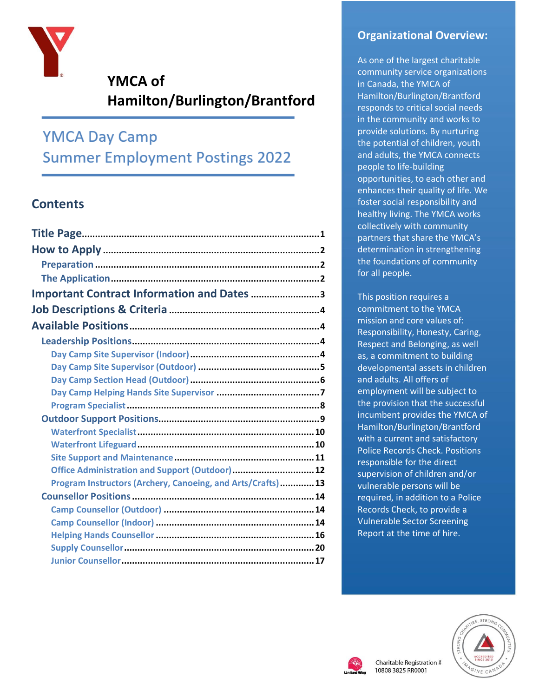

# **YMCA of Hamilton/Burlington/Brantford**

# **YMCA Day Camp Summer Employment Postings 2022**

## **Contents**

| Important Contract Information and Dates 3                  |  |
|-------------------------------------------------------------|--|
|                                                             |  |
|                                                             |  |
|                                                             |  |
|                                                             |  |
|                                                             |  |
|                                                             |  |
|                                                             |  |
|                                                             |  |
|                                                             |  |
|                                                             |  |
|                                                             |  |
|                                                             |  |
| Office Administration and Support (Outdoor) 12              |  |
| Program Instructors (Archery, Canoeing, and Arts/Crafts) 13 |  |
|                                                             |  |
|                                                             |  |
|                                                             |  |
|                                                             |  |
|                                                             |  |
|                                                             |  |

## **Organizational Overview:**

As one of the largest charitable community service organizations in Canada, the YMCA of Hamilton/Burlington/Brantford responds to critical social needs in the community and works to provide solutions. By nurturing the potential of children, youth and adults, the YMCA connects people to life-building opportunities, to each other and enhances their quality of life. We foster social responsibility and healthy living. The YMCA works collectively with community partners that share the YMCA's determination in strengthening the foundations of community for all people.

This position requires a commitment to the YMCA mission and core values of: Responsibility, Honesty, Caring, Respect and Belonging, as well as, a commitment to building developmental assets in children and adults. All offers of employment will be subject to the provision that the successful incumbent provides the YMCA of Hamilton/Burlington/Brantford with a current and satisfactory Police Records Check. Positions responsible for the direct supervision of children and/or vulnerable persons will be required, in addition to a Police Records Check, to provide a Vulnerable Sector Screening Report at the time of hire.



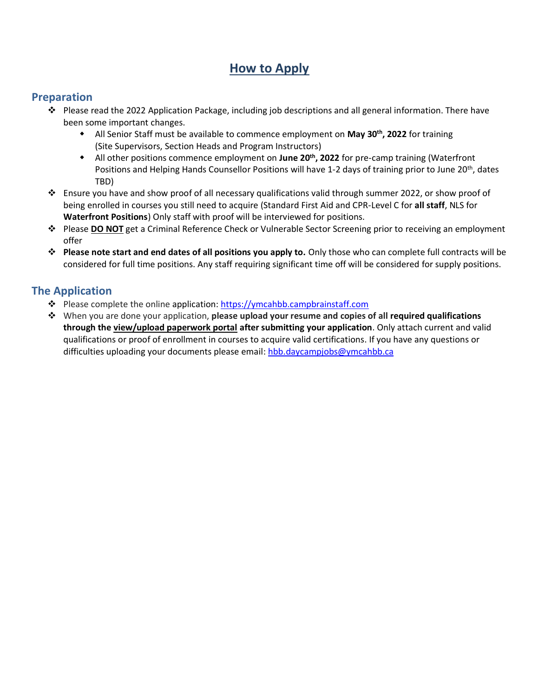## **How to Apply**

### <span id="page-1-1"></span><span id="page-1-0"></span>**Preparation**

- ❖ Please read the 2022 Application Package, including job descriptions and all general information. There have been some important changes.
	- **•** All Senior Staff must be available to commence employment on May 30<sup>th</sup>, 2022 for training (Site Supervisors, Section Heads and Program Instructors)
	- **•** All other positions commence employment on June 20<sup>th</sup>, 2022 for pre-camp training (Waterfront Positions and Helping Hands Counsellor Positions will have 1-2 days of training prior to June 20<sup>th</sup>, dates TBD)
- ❖ Ensure you have and show proof of all necessary qualifications valid through summer 2022, or show proof of being enrolled in courses you still need to acquire (Standard First Aid and CPR-Level C for **all staff**, NLS for **Waterfront Positions**) Only staff with proof will be interviewed for positions.
- ❖ Please **DO NOT** get a Criminal Reference Check or Vulnerable Sector Screening prior to receiving an employment offer
- ❖ **Please note start and end dates of all positions you apply to.** Only those who can complete full contracts will be considered for full time positions. Any staff requiring significant time off will be considered for supply positions.

### <span id="page-1-2"></span>**The Application**

- ❖ Please complete the online application[: https://ymcahbb.campbrainstaff.com](https://ymcahbb.campbrainstaff.com/)
- ❖ When you are done your application, **please upload your resume and copies of all required qualifications through the view/upload paperwork portal after submitting your application**. Only attach current and valid qualifications or proof of enrollment in courses to acquire valid certifications. If you have any questions or difficulties uploading your documents please email[: hbb.daycampjobs@ymcahbb.ca](mailto:hbb.daycampjobs@ymcahbb.ca)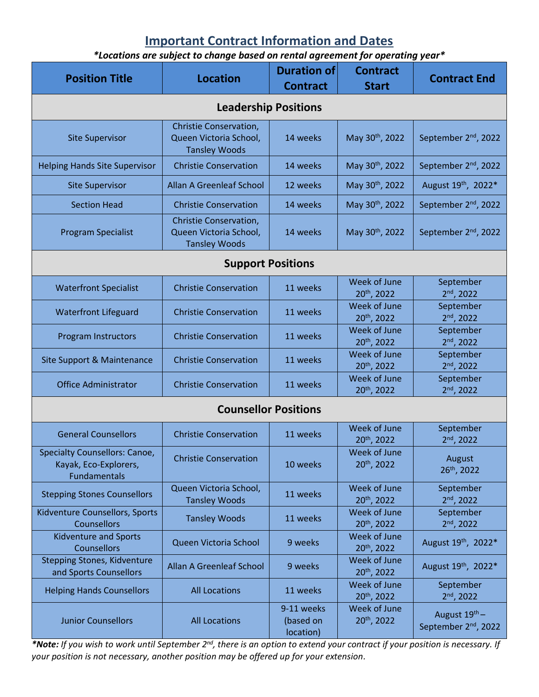# **Important Contract Information and Dates**

*\*Locations are subject to change based on rental agreement for operating year\**

<span id="page-2-0"></span>

| <b>Position Title</b>                                                                | <b>Location</b>                                                          | <b>Duration of</b><br><b>Contract</b> | <b>Contract</b><br><b>Start</b>         | <b>Contract End</b>                               |  |
|--------------------------------------------------------------------------------------|--------------------------------------------------------------------------|---------------------------------------|-----------------------------------------|---------------------------------------------------|--|
| <b>Leadership Positions</b>                                                          |                                                                          |                                       |                                         |                                                   |  |
| <b>Site Supervisor</b>                                                               | Christie Conservation,<br>Queen Victoria School,<br><b>Tansley Woods</b> | 14 weeks                              | May 30th, 2022                          | September 2 <sup>nd</sup> , 2022                  |  |
| <b>Helping Hands Site Supervisor</b>                                                 | <b>Christie Conservation</b>                                             | 14 weeks                              | May 30th, 2022                          | September 2 <sup>nd</sup> , 2022                  |  |
| <b>Site Supervisor</b>                                                               | <b>Allan A Greenleaf School</b>                                          | 12 weeks                              | May 30th, 2022                          | August 19th, 2022*                                |  |
| <b>Section Head</b>                                                                  | <b>Christie Conservation</b>                                             | 14 weeks                              | May 30th, 2022                          | September 2 <sup>nd</sup> , 2022                  |  |
| <b>Program Specialist</b>                                                            | Christie Conservation,<br>Queen Victoria School,<br><b>Tansley Woods</b> | 14 weeks                              | May 30 <sup>th</sup> , 2022             | September 2 <sup>nd</sup> , 2022                  |  |
| <b>Support Positions</b>                                                             |                                                                          |                                       |                                         |                                                   |  |
| <b>Waterfront Specialist</b>                                                         | <b>Christie Conservation</b>                                             | 11 weeks                              | Week of June<br>20 <sup>th</sup> , 2022 | September<br>$2nd$ , 2022                         |  |
| <b>Waterfront Lifeguard</b>                                                          | <b>Christie Conservation</b>                                             | 11 weeks                              | Week of June<br>20th, 2022              | September<br>$2nd$ , 2022                         |  |
| <b>Program Instructors</b>                                                           | <b>Christie Conservation</b>                                             | 11 weeks                              | Week of June<br>20 <sup>th</sup> , 2022 | September<br>$2nd$ , 2022                         |  |
| Site Support & Maintenance                                                           | <b>Christie Conservation</b>                                             | 11 weeks                              | Week of June<br>20th, 2022              | September<br>$2nd$ , 2022                         |  |
| <b>Office Administrator</b>                                                          | <b>Christie Conservation</b>                                             | 11 weeks                              | Week of June<br>20th, 2022              | September<br>$2nd$ , 2022                         |  |
| <b>Counsellor Positions</b>                                                          |                                                                          |                                       |                                         |                                                   |  |
| <b>General Counsellors</b>                                                           | <b>Christie Conservation</b>                                             | 11 weeks                              | Week of June<br>20th, 2022              | September<br>$2nd$ , 2022                         |  |
| <b>Specialty Counsellors: Canoe,</b><br>Kayak, Eco-Explorers,<br><b>Fundamentals</b> | <b>Christie Conservation</b>                                             | 10 weeks                              | Week of June<br>20 <sup>th</sup> , 2022 | August<br>26th, 2022                              |  |
| <b>Stepping Stones Counsellors</b>                                                   | Queen Victoria School,<br><b>Tansley Woods</b>                           | 11 weeks                              | Week of June<br>20th, 2022              | September<br>$2nd$ , 2022                         |  |
| Kidventure Counsellors, Sports<br><b>Counsellors</b>                                 | <b>Tansley Woods</b>                                                     | 11 weeks                              | Week of June<br>20th, 2022              | September<br>$2nd$ , 2022                         |  |
| <b>Kidventure and Sports</b><br><b>Counsellors</b>                                   | Queen Victoria School                                                    | 9 weeks                               | Week of June<br>20th, 2022              | August 19th, 2022*                                |  |
| Stepping Stones, Kidventure<br>and Sports Counsellors                                | <b>Allan A Greenleaf School</b>                                          | 9 weeks                               | Week of June<br>20th, 2022              | August 19th, 2022*                                |  |
| <b>Helping Hands Counsellors</b>                                                     | <b>All Locations</b>                                                     | 11 weeks                              | Week of June<br>20th, 2022              | September<br>$2nd$ , 2022                         |  |
| <b>Junior Counsellors</b>                                                            | <b>All Locations</b>                                                     | 9-11 weeks<br>(based on<br>location)  | Week of June<br>20th, 2022              | August 19th -<br>September 2 <sup>nd</sup> , 2022 |  |

\*Note: If you wish to work until September 2<sup>nd</sup>, there is an option to extend your contract if your position is necessary. If *your position is not necessary, another position may be offered up for your extension.*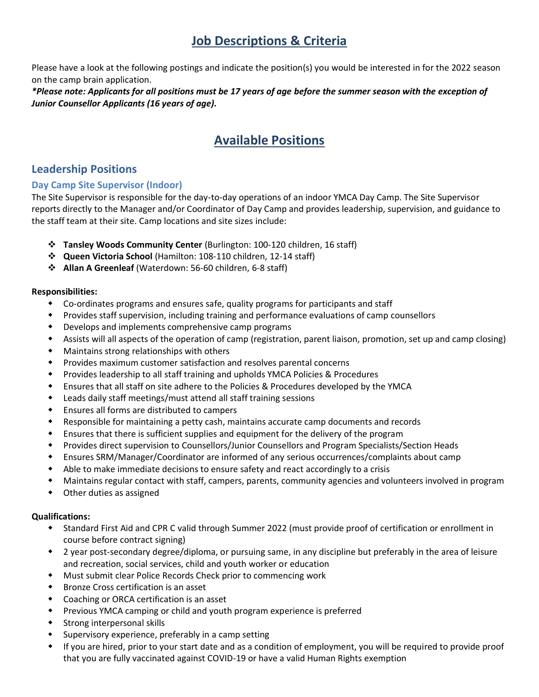## **Job Descriptions & Criteria**

<span id="page-3-0"></span>Please have a look at the following postings and indicate the position(s) you would be interested in for the 2022 season on the camp brain application.

<span id="page-3-1"></span>*\*Please note: Applicants for all positions must be 17 years of age before the summer season with the exception of Junior Counsellor Applicants (16 years of age).*

# **Available Positions**

## <span id="page-3-2"></span>**Leadership Positions**

#### <span id="page-3-3"></span>**Day Camp Site Supervisor (Indoor)**

The Site Supervisor is responsible for the day-to-day operations of an indoor YMCA Day Camp. The Site Supervisor reports directly to the Manager and/or Coordinator of Day Camp and provides leadership, supervision, and guidance to the staff team at their site. Camp locations and site sizes include:

- ❖ **Tansley Woods Community Center** (Burlington: 100-120 children, 16 staff)
- ❖ **Queen Victoria School** (Hamilton: 108-110 children, 12-14 staff)
- ❖ **Allan A Greenleaf** (Waterdown: 56-60 children, 6-8 staff)

#### **Responsibilities:**

- Co-ordinates programs and ensures safe, quality programs for participants and staff
- Provides staff supervision, including training and performance evaluations of camp counsellors
- Develops and implements comprehensive camp programs
- Assists will all aspects of the operation of camp (registration, parent liaison, promotion, set up and camp closing)
- Maintains strong relationships with others
- Provides maximum customer satisfaction and resolves parental concerns
- Provides leadership to all staff training and upholds YMCA Policies & Procedures
- Ensures that all staff on site adhere to the Policies & Procedures developed by the YMCA
- Leads daily staff meetings/must attend all staff training sessions
- Ensures all forms are distributed to campers
- Responsible for maintaining a petty cash, maintains accurate camp documents and records
- Ensures that there is sufficient supplies and equipment for the delivery of the program
- Provides direct supervision to Counsellors/Junior Counsellors and Program Specialists/Section Heads
- Ensures SRM/Manager/Coordinator are informed of any serious occurrences/complaints about camp
- Able to make immediate decisions to ensure safety and react accordingly to a crisis
- Maintains regular contact with staff, campers, parents, community agencies and volunteers involved in program
- Other duties as assigned

- Standard First Aid and CPR C valid through Summer 2022 (must provide proof of certification or enrollment in course before contract signing)
- 2 year post-secondary degree/diploma, or pursuing same, in any discipline but preferably in the area of leisure and recreation, social services, child and youth worker or education
- Must submit clear Police Records Check prior to commencing work
- Bronze Cross certification is an asset
- Coaching or ORCA certification is an asset
- Previous YMCA camping or child and youth program experience is preferred
- Strong interpersonal skills
- Supervisory experience, preferably in a camp setting
- If you are hired, prior to your start date and as a condition of employment, you will be required to provide proof that you are fully vaccinated against COVID-19 or have a valid Human Rights exemption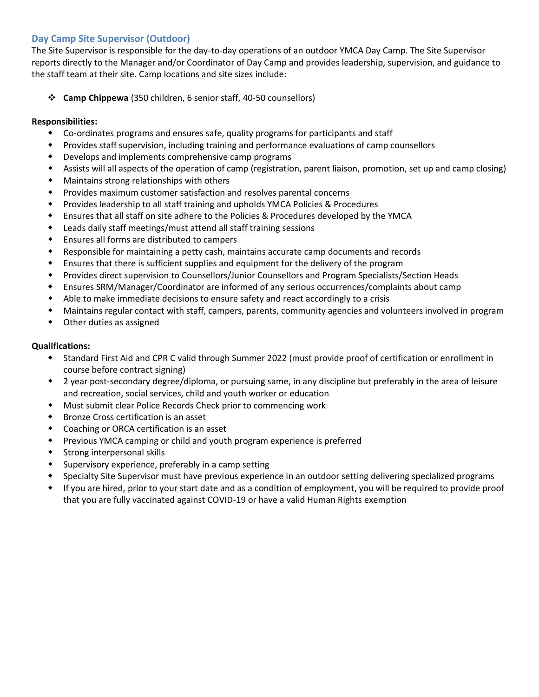#### <span id="page-4-0"></span>**Day Camp Site Supervisor (Outdoor)**

The Site Supervisor is responsible for the day-to-day operations of an outdoor YMCA Day Camp. The Site Supervisor reports directly to the Manager and/or Coordinator of Day Camp and provides leadership, supervision, and guidance to the staff team at their site. Camp locations and site sizes include:

❖ **Camp Chippewa** (350 children, 6 senior staff, 40-50 counsellors)

#### **Responsibilities:**

- Co-ordinates programs and ensures safe, quality programs for participants and staff
- Provides staff supervision, including training and performance evaluations of camp counsellors
- Develops and implements comprehensive camp programs
- Assists will all aspects of the operation of camp (registration, parent liaison, promotion, set up and camp closing)
- Maintains strong relationships with others
- Provides maximum customer satisfaction and resolves parental concerns
- Provides leadership to all staff training and upholds YMCA Policies & Procedures
- Ensures that all staff on site adhere to the Policies & Procedures developed by the YMCA
- Leads daily staff meetings/must attend all staff training sessions
- Ensures all forms are distributed to campers
- Responsible for maintaining a petty cash, maintains accurate camp documents and records
- Ensures that there is sufficient supplies and equipment for the delivery of the program
- Provides direct supervision to Counsellors/Junior Counsellors and Program Specialists/Section Heads
- Ensures SRM/Manager/Coordinator are informed of any serious occurrences/complaints about camp
- Able to make immediate decisions to ensure safety and react accordingly to a crisis
- Maintains regular contact with staff, campers, parents, community agencies and volunteers involved in program
- Other duties as assigned

- Standard First Aid and CPR C valid through Summer 2022 (must provide proof of certification or enrollment in course before contract signing)
- 2 year post-secondary degree/diploma, or pursuing same, in any discipline but preferably in the area of leisure and recreation, social services, child and youth worker or education
- Must submit clear Police Records Check prior to commencing work
- Bronze Cross certification is an asset
- Coaching or ORCA certification is an asset
- Previous YMCA camping or child and youth program experience is preferred
- Strong interpersonal skills
- Supervisory experience, preferably in a camp setting
- Specialty Site Supervisor must have previous experience in an outdoor setting delivering specialized programs
- If you are hired, prior to your start date and as a condition of employment, you will be required to provide proof that you are fully vaccinated against COVID-19 or have a valid Human Rights exemption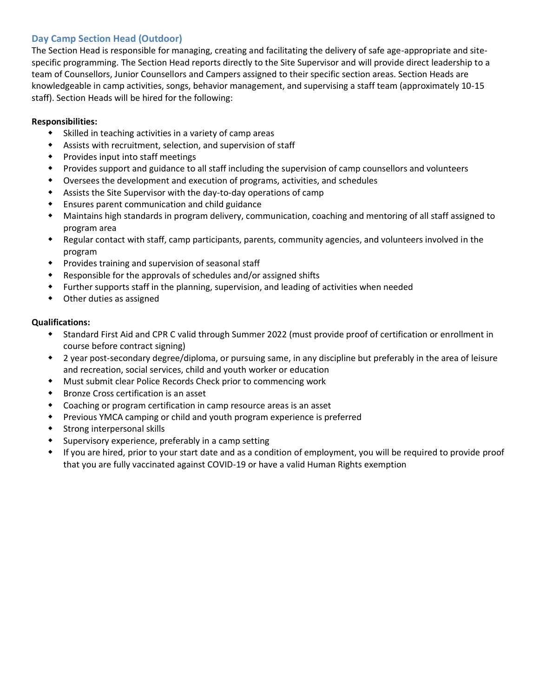#### <span id="page-5-0"></span>**Day Camp Section Head (Outdoor)**

The Section Head is responsible for managing, creating and facilitating the delivery of safe age-appropriate and sitespecific programming. The Section Head reports directly to the Site Supervisor and will provide direct leadership to a team of Counsellors, Junior Counsellors and Campers assigned to their specific section areas. Section Heads are knowledgeable in camp activities, songs, behavior management, and supervising a staff team (approximately 10-15 staff). Section Heads will be hired for the following:

#### **Responsibilities:**

- Skilled in teaching activities in a variety of camp areas
- Assists with recruitment, selection, and supervision of staff
- Provides input into staff meetings
- Provides support and guidance to all staff including the supervision of camp counsellors and volunteers
- Oversees the development and execution of programs, activities, and schedules
- Assists the Site Supervisor with the day-to-day operations of camp
- Ensures parent communication and child guidance
- Maintains high standards in program delivery, communication, coaching and mentoring of all staff assigned to program area
- Regular contact with staff, camp participants, parents, community agencies, and volunteers involved in the program
- Provides training and supervision of seasonal staff
- Responsible for the approvals of schedules and/or assigned shifts
- Further supports staff in the planning, supervision, and leading of activities when needed
- Other duties as assigned

- Standard First Aid and CPR C valid through Summer 2022 (must provide proof of certification or enrollment in course before contract signing)
- 2 year post-secondary degree/diploma, or pursuing same, in any discipline but preferably in the area of leisure and recreation, social services, child and youth worker or education
- Must submit clear Police Records Check prior to commencing work
- Bronze Cross certification is an asset
- Coaching or program certification in camp resource areas is an asset
- Previous YMCA camping or child and youth program experience is preferred
- Strong interpersonal skills
- Supervisory experience, preferably in a camp setting
- If you are hired, prior to your start date and as a condition of employment, you will be required to provide proof that you are fully vaccinated against COVID-19 or have a valid Human Rights exemption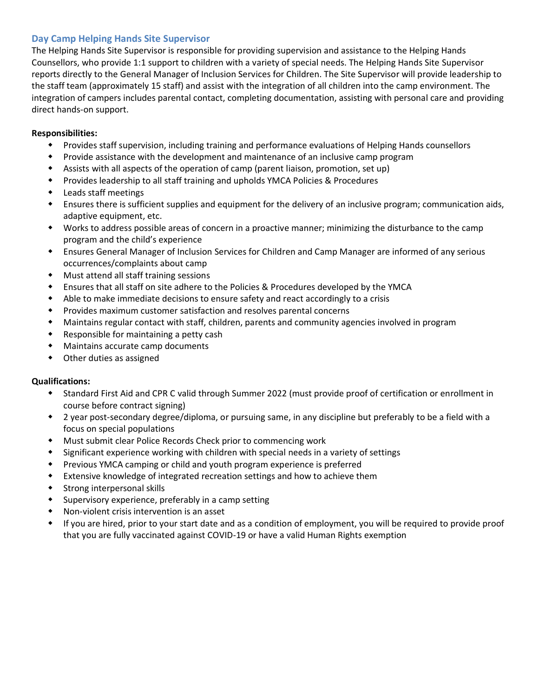#### <span id="page-6-0"></span>**Day Camp Helping Hands Site Supervisor**

The Helping Hands Site Supervisor is responsible for providing supervision and assistance to the Helping Hands Counsellors, who provide 1:1 support to children with a variety of special needs. The Helping Hands Site Supervisor reports directly to the General Manager of Inclusion Services for Children. The Site Supervisor will provide leadership to the staff team (approximately 15 staff) and assist with the integration of all children into the camp environment. The integration of campers includes parental contact, completing documentation, assisting with personal care and providing direct hands-on support.

#### **Responsibilities:**

- Provides staff supervision, including training and performance evaluations of Helping Hands counsellors
- Provide assistance with the development and maintenance of an inclusive camp program
- Assists with all aspects of the operation of camp (parent liaison, promotion, set up)
- Provides leadership to all staff training and upholds YMCA Policies & Procedures
- Leads staff meetings
- Ensures there is sufficient supplies and equipment for the delivery of an inclusive program; communication aids, adaptive equipment, etc.
- Works to address possible areas of concern in a proactive manner; minimizing the disturbance to the camp program and the child's experience
- Ensures General Manager of Inclusion Services for Children and Camp Manager are informed of any serious occurrences/complaints about camp
- Must attend all staff training sessions
- Ensures that all staff on site adhere to the Policies & Procedures developed by the YMCA
- Able to make immediate decisions to ensure safety and react accordingly to a crisis
- Provides maximum customer satisfaction and resolves parental concerns
- Maintains regular contact with staff, children, parents and community agencies involved in program
- Responsible for maintaining a petty cash
- Maintains accurate camp documents
- Other duties as assigned

- Standard First Aid and CPR C valid through Summer 2022 (must provide proof of certification or enrollment in course before contract signing)
- 2 year post-secondary degree/diploma, or pursuing same, in any discipline but preferably to be a field with a focus on special populations
- Must submit clear Police Records Check prior to commencing work
- Significant experience working with children with special needs in a variety of settings
- Previous YMCA camping or child and youth program experience is preferred
- Extensive knowledge of integrated recreation settings and how to achieve them
- Strong interpersonal skills
- Supervisory experience, preferably in a camp setting
- Non-violent crisis intervention is an asset
- If you are hired, prior to your start date and as a condition of employment, you will be required to provide proof that you are fully vaccinated against COVID-19 or have a valid Human Rights exemption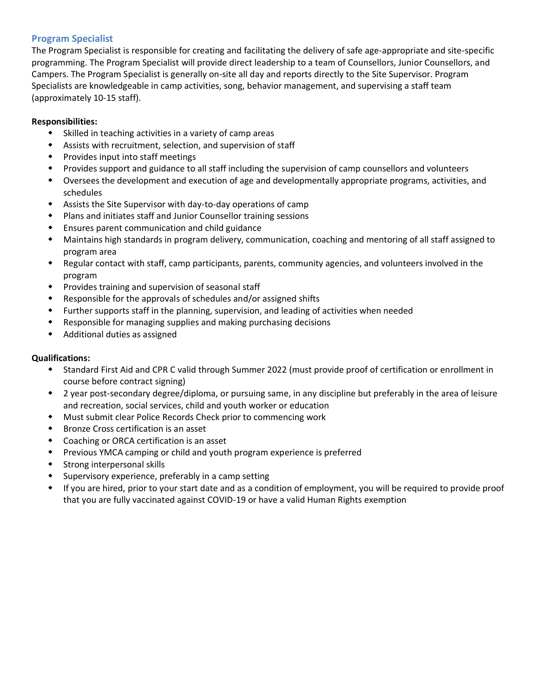#### <span id="page-7-0"></span>**Program Specialist**

The Program Specialist is responsible for creating and facilitating the delivery of safe age-appropriate and site-specific programming. The Program Specialist will provide direct leadership to a team of Counsellors, Junior Counsellors, and Campers. The Program Specialist is generally on-site all day and reports directly to the Site Supervisor. Program Specialists are knowledgeable in camp activities, song, behavior management, and supervising a staff team (approximately 10-15 staff).

#### **Responsibilities:**

- Skilled in teaching activities in a variety of camp areas
- Assists with recruitment, selection, and supervision of staff
- Provides input into staff meetings
- Provides support and guidance to all staff including the supervision of camp counsellors and volunteers
- Oversees the development and execution of age and developmentally appropriate programs, activities, and schedules
- Assists the Site Supervisor with day-to-day operations of camp
- Plans and initiates staff and Junior Counsellor training sessions
- Ensures parent communication and child guidance
- Maintains high standards in program delivery, communication, coaching and mentoring of all staff assigned to program area
- Regular contact with staff, camp participants, parents, community agencies, and volunteers involved in the program
- Provides training and supervision of seasonal staff
- Responsible for the approvals of schedules and/or assigned shifts
- Further supports staff in the planning, supervision, and leading of activities when needed
- Responsible for managing supplies and making purchasing decisions
- Additional duties as assigned

- Standard First Aid and CPR C valid through Summer 2022 (must provide proof of certification or enrollment in course before contract signing)
- 2 year post-secondary degree/diploma, or pursuing same, in any discipline but preferably in the area of leisure and recreation, social services, child and youth worker or education
- Must submit clear Police Records Check prior to commencing work
- Bronze Cross certification is an asset
- Coaching or ORCA certification is an asset
- Previous YMCA camping or child and youth program experience is preferred
- Strong interpersonal skills
- Supervisory experience, preferably in a camp setting
- If you are hired, prior to your start date and as a condition of employment, you will be required to provide proof that you are fully vaccinated against COVID-19 or have a valid Human Rights exemption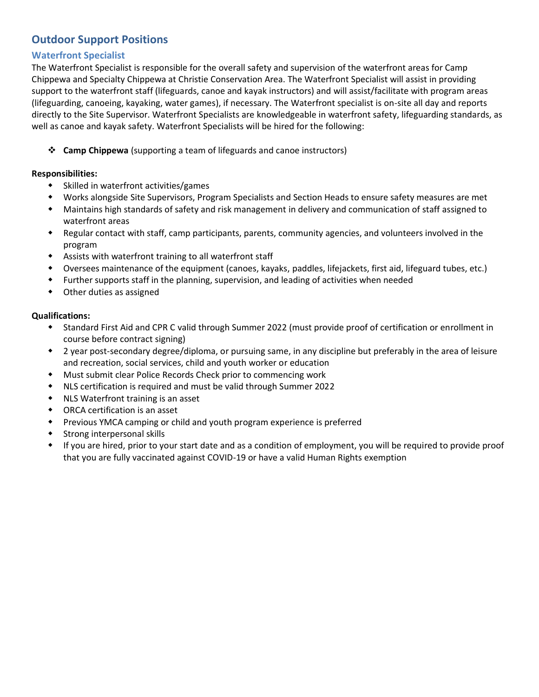## <span id="page-8-0"></span>**Outdoor Support Positions**

#### **Waterfront Specialist**

The Waterfront Specialist is responsible for the overall safety and supervision of the waterfront areas for Camp Chippewa and Specialty Chippewa at Christie Conservation Area. The Waterfront Specialist will assist in providing support to the waterfront staff (lifeguards, canoe and kayak instructors) and will assist/facilitate with program areas (lifeguarding, canoeing, kayaking, water games), if necessary. The Waterfront specialist is on-site all day and reports directly to the Site Supervisor. Waterfront Specialists are knowledgeable in waterfront safety, lifeguarding standards, as well as canoe and kayak safety. Waterfront Specialists will be hired for the following:

❖ **Camp Chippewa** (supporting a team of lifeguards and canoe instructors)

#### **Responsibilities:**

- Skilled in waterfront activities/games
- Works alongside Site Supervisors, Program Specialists and Section Heads to ensure safety measures are met
- Maintains high standards of safety and risk management in delivery and communication of staff assigned to waterfront areas
- Regular contact with staff, camp participants, parents, community agencies, and volunteers involved in the program
- Assists with waterfront training to all waterfront staff
- Oversees maintenance of the equipment (canoes, kayaks, paddles, lifejackets, first aid, lifeguard tubes, etc.)
- Further supports staff in the planning, supervision, and leading of activities when needed
- Other duties as assigned

- Standard First Aid and CPR C valid through Summer 2022 (must provide proof of certification or enrollment in course before contract signing)
- 2 year post-secondary degree/diploma, or pursuing same, in any discipline but preferably in the area of leisure and recreation, social services, child and youth worker or education
- Must submit clear Police Records Check prior to commencing work
- NLS certification is required and must be valid through Summer 2022
- NLS Waterfront training is an asset
- ORCA certification is an asset
- Previous YMCA camping or child and youth program experience is preferred
- Strong interpersonal skills
- If you are hired, prior to your start date and as a condition of employment, you will be required to provide proof that you are fully vaccinated against COVID-19 or have a valid Human Rights exemption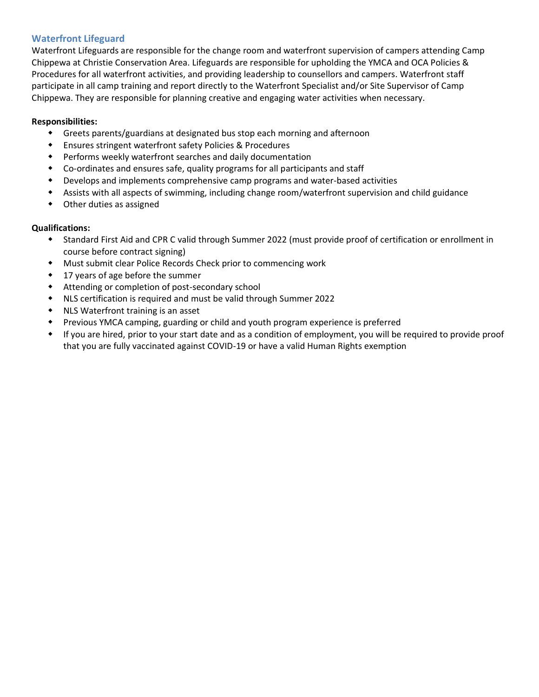#### <span id="page-9-0"></span>**Waterfront Lifeguard**

Waterfront Lifeguards are responsible for the change room and waterfront supervision of campers attending Camp Chippewa at Christie Conservation Area. Lifeguards are responsible for upholding the YMCA and OCA Policies & Procedures for all waterfront activities, and providing leadership to counsellors and campers. Waterfront staff participate in all camp training and report directly to the Waterfront Specialist and/or Site Supervisor of Camp Chippewa. They are responsible for planning creative and engaging water activities when necessary.

#### **Responsibilities:**

- Greets parents/guardians at designated bus stop each morning and afternoon
- Ensures stringent waterfront safety Policies & Procedures
- Performs weekly waterfront searches and daily documentation
- Co-ordinates and ensures safe, quality programs for all participants and staff
- Develops and implements comprehensive camp programs and water-based activities
- Assists with all aspects of swimming, including change room/waterfront supervision and child guidance
- Other duties as assigned

- Standard First Aid and CPR C valid through Summer 2022 (must provide proof of certification or enrollment in course before contract signing)
- Must submit clear Police Records Check prior to commencing work
- 17 years of age before the summer
- Attending or completion of post-secondary school
- NLS certification is required and must be valid through Summer 2022
- NLS Waterfront training is an asset
- Previous YMCA camping, guarding or child and youth program experience is preferred
- If you are hired, prior to your start date and as a condition of employment, you will be required to provide proof that you are fully vaccinated against COVID-19 or have a valid Human Rights exemption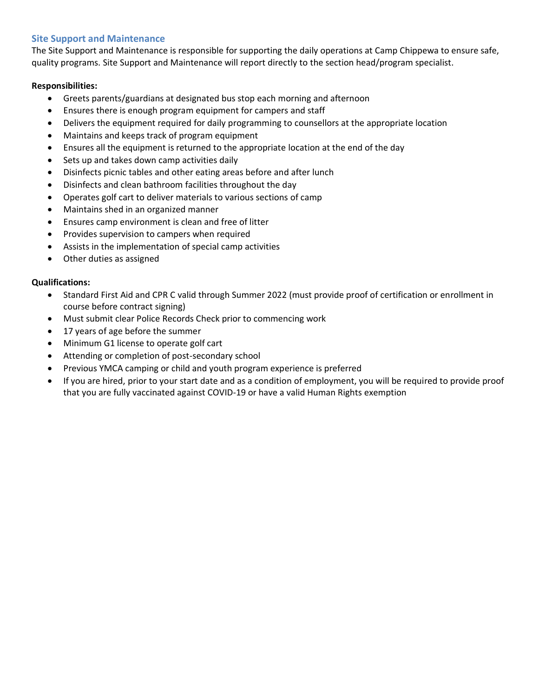#### <span id="page-10-0"></span>**Site Support and Maintenance**

The Site Support and Maintenance is responsible for supporting the daily operations at Camp Chippewa to ensure safe, quality programs. Site Support and Maintenance will report directly to the section head/program specialist.

#### **Responsibilities:**

- Greets parents/guardians at designated bus stop each morning and afternoon
- Ensures there is enough program equipment for campers and staff
- Delivers the equipment required for daily programming to counsellors at the appropriate location
- Maintains and keeps track of program equipment
- Ensures all the equipment is returned to the appropriate location at the end of the day
- Sets up and takes down camp activities daily
- Disinfects picnic tables and other eating areas before and after lunch
- Disinfects and clean bathroom facilities throughout the day
- Operates golf cart to deliver materials to various sections of camp
- Maintains shed in an organized manner
- Ensures camp environment is clean and free of litter
- Provides supervision to campers when required
- Assists in the implementation of special camp activities
- Other duties as assigned

- Standard First Aid and CPR C valid through Summer 2022 (must provide proof of certification or enrollment in course before contract signing)
- Must submit clear Police Records Check prior to commencing work
- 17 years of age before the summer
- Minimum G1 license to operate golf cart
- Attending or completion of post-secondary school
- Previous YMCA camping or child and youth program experience is preferred
- If you are hired, prior to your start date and as a condition of employment, you will be required to provide proof that you are fully vaccinated against COVID-19 or have a valid Human Rights exemption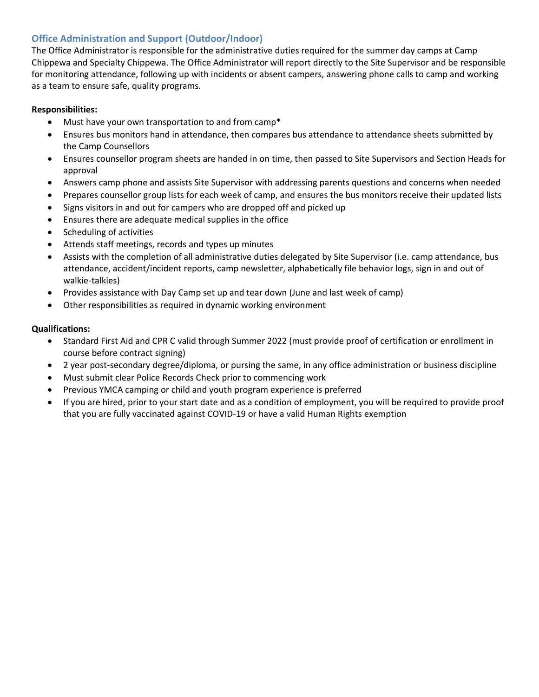#### <span id="page-11-0"></span>**Office Administration and Support (Outdoor/Indoor)**

The Office Administrator is responsible for the administrative duties required for the summer day camps at Camp Chippewa and Specialty Chippewa. The Office Administrator will report directly to the Site Supervisor and be responsible for monitoring attendance, following up with incidents or absent campers, answering phone calls to camp and working as a team to ensure safe, quality programs.

#### **Responsibilities:**

- Must have your own transportation to and from camp\*
- Ensures bus monitors hand in attendance, then compares bus attendance to attendance sheets submitted by the Camp Counsellors
- Ensures counsellor program sheets are handed in on time, then passed to Site Supervisors and Section Heads for approval
- Answers camp phone and assists Site Supervisor with addressing parents questions and concerns when needed
- Prepares counsellor group lists for each week of camp, and ensures the bus monitors receive their updated lists
- Signs visitors in and out for campers who are dropped off and picked up
- Ensures there are adequate medical supplies in the office
- Scheduling of activities
- Attends staff meetings, records and types up minutes
- Assists with the completion of all administrative duties delegated by Site Supervisor (i.e. camp attendance, bus attendance, accident/incident reports, camp newsletter, alphabetically file behavior logs, sign in and out of walkie-talkies)
- Provides assistance with Day Camp set up and tear down (June and last week of camp)
- Other responsibilities as required in dynamic working environment

- Standard First Aid and CPR C valid through Summer 2022 (must provide proof of certification or enrollment in course before contract signing)
- 2 year post-secondary degree/diploma, or pursing the same, in any office administration or business discipline
- Must submit clear Police Records Check prior to commencing work
- Previous YMCA camping or child and youth program experience is preferred
- If you are hired, prior to your start date and as a condition of employment, you will be required to provide proof that you are fully vaccinated against COVID-19 or have a valid Human Rights exemption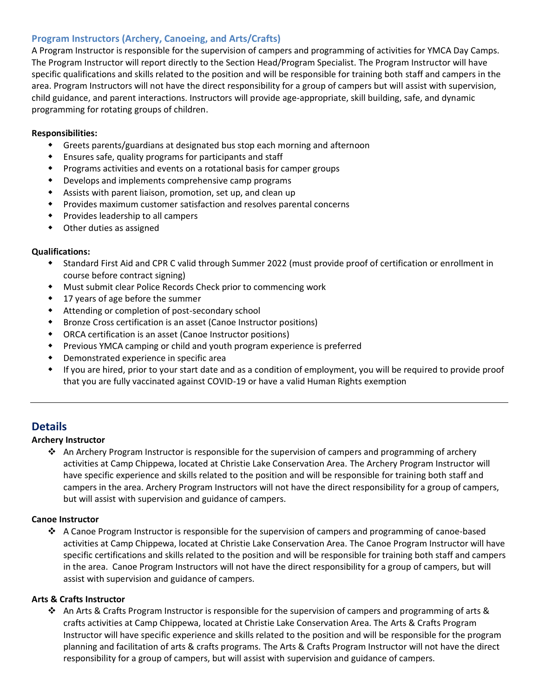#### <span id="page-12-0"></span>**Program Instructors (Archery, Canoeing, and Arts/Crafts)**

A Program Instructor is responsible for the supervision of campers and programming of activities for YMCA Day Camps. The Program Instructor will report directly to the Section Head/Program Specialist. The Program Instructor will have specific qualifications and skills related to the position and will be responsible for training both staff and campers in the area. Program Instructors will not have the direct responsibility for a group of campers but will assist with supervision, child guidance, and parent interactions. Instructors will provide age-appropriate, skill building, safe, and dynamic programming for rotating groups of children.

#### **Responsibilities:**

- Greets parents/guardians at designated bus stop each morning and afternoon
- Ensures safe, quality programs for participants and staff
- Programs activities and events on a rotational basis for camper groups
- Develops and implements comprehensive camp programs
- Assists with parent liaison, promotion, set up, and clean up
- Provides maximum customer satisfaction and resolves parental concerns
- Provides leadership to all campers
- Other duties as assigned

#### **Qualifications:**

- Standard First Aid and CPR C valid through Summer 2022 (must provide proof of certification or enrollment in course before contract signing)
- Must submit clear Police Records Check prior to commencing work
- 17 years of age before the summer
- Attending or completion of post-secondary school
- Bronze Cross certification is an asset (Canoe Instructor positions)
- ORCA certification is an asset (Canoe Instructor positions)
- Previous YMCA camping or child and youth program experience is preferred
- Demonstrated experience in specific area
- If you are hired, prior to your start date and as a condition of employment, you will be required to provide proof that you are fully vaccinated against COVID-19 or have a valid Human Rights exemption

#### **Details**

#### **Archery Instructor**

 $\cdot$  An Archery Program Instructor is responsible for the supervision of campers and programming of archery activities at Camp Chippewa, located at Christie Lake Conservation Area. The Archery Program Instructor will have specific experience and skills related to the position and will be responsible for training both staff and campers in the area. Archery Program Instructors will not have the direct responsibility for a group of campers, but will assist with supervision and guidance of campers.

#### **Canoe Instructor**

❖ A Canoe Program Instructor is responsible for the supervision of campers and programming of canoe-based activities at Camp Chippewa, located at Christie Lake Conservation Area. The Canoe Program Instructor will have specific certifications and skills related to the position and will be responsible for training both staff and campers in the area. Canoe Program Instructors will not have the direct responsibility for a group of campers, but will assist with supervision and guidance of campers.

#### **Arts & Crafts Instructor**

❖ An Arts & Crafts Program Instructor is responsible for the supervision of campers and programming of arts & crafts activities at Camp Chippewa, located at Christie Lake Conservation Area. The Arts & Crafts Program Instructor will have specific experience and skills related to the position and will be responsible for the program planning and facilitation of arts & crafts programs. The Arts & Crafts Program Instructor will not have the direct responsibility for a group of campers, but will assist with supervision and guidance of campers.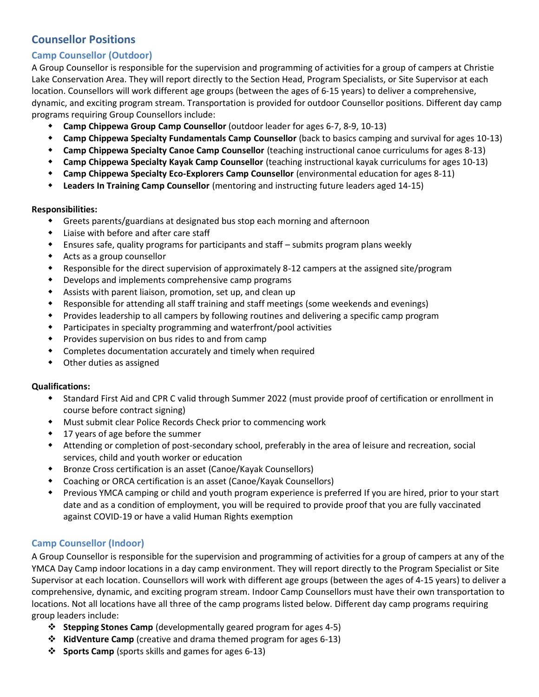## <span id="page-13-0"></span>**Counsellor Positions**

#### <span id="page-13-1"></span>**Camp Counsellor (Outdoor)**

A Group Counsellor is responsible for the supervision and programming of activities for a group of campers at Christie Lake Conservation Area. They will report directly to the Section Head, Program Specialists, or Site Supervisor at each location. Counsellors will work different age groups (between the ages of 6-15 years) to deliver a comprehensive, dynamic, and exciting program stream. Transportation is provided for outdoor Counsellor positions. Different day camp programs requiring Group Counsellors include:

- **Camp Chippewa Group Camp Counsellor** (outdoor leader for ages 6-7, 8-9, 10-13)
- **Camp Chippewa Specialty Fundamentals Camp Counsellor** (back to basics camping and survival for ages 10-13)
- **Camp Chippewa Specialty Canoe Camp Counsellor** (teaching instructional canoe curriculums for ages 8-13)
- **Camp Chippewa Specialty Kayak Camp Counsellor** (teaching instructional kayak curriculums for ages 10-13)
- **Camp Chippewa Specialty Eco-Explorers Camp Counsellor** (environmental education for ages 8-11)
- **Leaders In Training Camp Counsellor** (mentoring and instructing future leaders aged 14-15)

#### **Responsibilities:**

- Greets parents/guardians at designated bus stop each morning and afternoon
- Liaise with before and after care staff
- Ensures safe, quality programs for participants and staff submits program plans weekly
- Acts as a group counsellor
- Responsible for the direct supervision of approximately 8-12 campers at the assigned site/program
- Develops and implements comprehensive camp programs
- Assists with parent liaison, promotion, set up, and clean up
- Responsible for attending all staff training and staff meetings (some weekends and evenings)
- Provides leadership to all campers by following routines and delivering a specific camp program
- Participates in specialty programming and waterfront/pool activities
- Provides supervision on bus rides to and from camp
- Completes documentation accurately and timely when required
- Other duties as assigned

#### **Qualifications:**

- Standard First Aid and CPR C valid through Summer 2022 (must provide proof of certification or enrollment in course before contract signing)
- Must submit clear Police Records Check prior to commencing work
- 17 years of age before the summer
- Attending or completion of post-secondary school, preferably in the area of leisure and recreation, social services, child and youth worker or education
- Bronze Cross certification is an asset (Canoe/Kayak Counsellors)
- Coaching or ORCA certification is an asset (Canoe/Kayak Counsellors)
- Previous YMCA camping or child and youth program experience is preferred If you are hired, prior to your start date and as a condition of employment, you will be required to provide proof that you are fully vaccinated against COVID-19 or have a valid Human Rights exemption

#### <span id="page-13-2"></span>**Camp Counsellor (Indoor)**

A Group Counsellor is responsible for the supervision and programming of activities for a group of campers at any of the YMCA Day Camp indoor locations in a day camp environment. They will report directly to the Program Specialist or Site Supervisor at each location. Counsellors will work with different age groups (between the ages of 4-15 years) to deliver a comprehensive, dynamic, and exciting program stream. Indoor Camp Counsellors must have their own transportation to locations. Not all locations have all three of the camp programs listed below. Different day camp programs requiring group leaders include:

- ❖ **Stepping Stones Camp** (developmentally geared program for ages 4-5)
- ❖ **KidVenture Camp** (creative and drama themed program for ages 6-13)
- ❖ **Sports Camp** (sports skills and games for ages 6-13)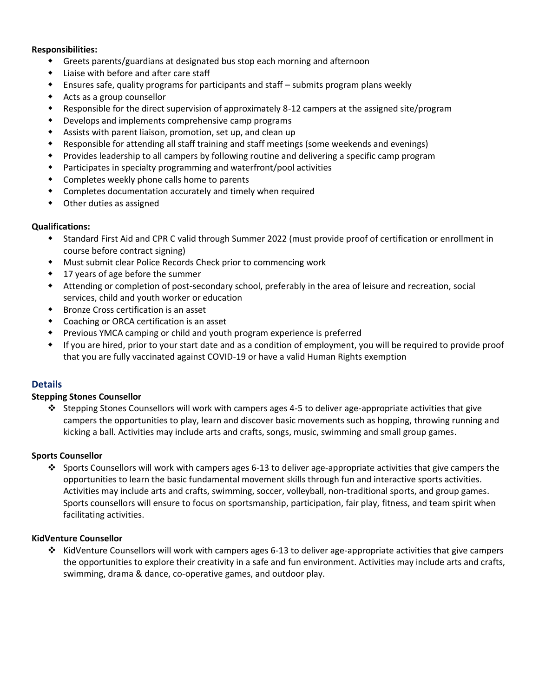#### **Responsibilities:**

- Greets parents/guardians at designated bus stop each morning and afternoon
- Liaise with before and after care staff
- Ensures safe, quality programs for participants and staff submits program plans weekly
- Acts as a group counsellor
- Responsible for the direct supervision of approximately 8-12 campers at the assigned site/program
- Develops and implements comprehensive camp programs
- Assists with parent liaison, promotion, set up, and clean up
- Responsible for attending all staff training and staff meetings (some weekends and evenings)
- Provides leadership to all campers by following routine and delivering a specific camp program
- Participates in specialty programming and waterfront/pool activities
- Completes weekly phone calls home to parents
- Completes documentation accurately and timely when required
- Other duties as assigned

#### **Qualifications:**

- Standard First Aid and CPR C valid through Summer 2022 (must provide proof of certification or enrollment in course before contract signing)
- Must submit clear Police Records Check prior to commencing work
- 17 years of age before the summer
- Attending or completion of post-secondary school, preferably in the area of leisure and recreation, social services, child and youth worker or education
- Bronze Cross certification is an asset
- Coaching or ORCA certification is an asset
- Previous YMCA camping or child and youth program experience is preferred
- If you are hired, prior to your start date and as a condition of employment, you will be required to provide proof that you are fully vaccinated against COVID-19 or have a valid Human Rights exemption

#### **Details**

#### **Stepping Stones Counsellor**

❖ Stepping Stones Counsellors will work with campers ages 4-5 to deliver age-appropriate activities that give campers the opportunities to play, learn and discover basic movements such as hopping, throwing running and kicking a ball. Activities may include arts and crafts, songs, music, swimming and small group games.

#### **Sports Counsellor**

❖ Sports Counsellors will work with campers ages 6-13 to deliver age-appropriate activities that give campers the opportunities to learn the basic fundamental movement skills through fun and interactive sports activities. Activities may include arts and crafts, swimming, soccer, volleyball, non-traditional sports, and group games. Sports counsellors will ensure to focus on sportsmanship, participation, fair play, fitness, and team spirit when facilitating activities.

#### **KidVenture Counsellor**

❖ KidVenture Counsellors will work with campers ages 6-13 to deliver age-appropriate activities that give campers the opportunities to explore their creativity in a safe and fun environment. Activities may include arts and crafts, swimming, drama & dance, co-operative games, and outdoor play.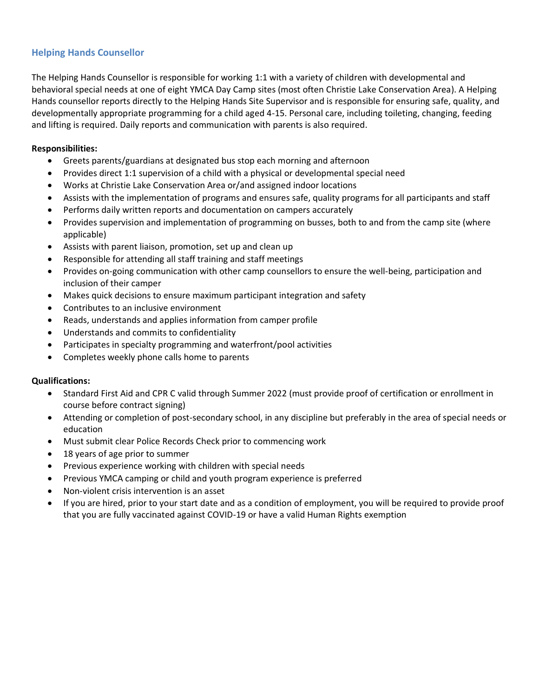#### <span id="page-15-0"></span>**Helping Hands Counsellor**

The Helping Hands Counsellor is responsible for working 1:1 with a variety of children with developmental and behavioral special needs at one of eight YMCA Day Camp sites (most often Christie Lake Conservation Area). A Helping Hands counsellor reports directly to the Helping Hands Site Supervisor and is responsible for ensuring safe, quality, and developmentally appropriate programming for a child aged 4-15. Personal care, including toileting, changing, feeding and lifting is required. Daily reports and communication with parents is also required.

#### **Responsibilities:**

- Greets parents/guardians at designated bus stop each morning and afternoon
- Provides direct 1:1 supervision of a child with a physical or developmental special need
- Works at Christie Lake Conservation Area or/and assigned indoor locations
- Assists with the implementation of programs and ensures safe, quality programs for all participants and staff
- Performs daily written reports and documentation on campers accurately
- Provides supervision and implementation of programming on busses, both to and from the camp site (where applicable)
- Assists with parent liaison, promotion, set up and clean up
- Responsible for attending all staff training and staff meetings
- Provides on-going communication with other camp counsellors to ensure the well-being, participation and inclusion of their camper
- Makes quick decisions to ensure maximum participant integration and safety
- Contributes to an inclusive environment
- Reads, understands and applies information from camper profile
- Understands and commits to confidentiality
- Participates in specialty programming and waterfront/pool activities
- Completes weekly phone calls home to parents

- Standard First Aid and CPR C valid through Summer 2022 (must provide proof of certification or enrollment in course before contract signing)
- Attending or completion of post-secondary school, in any discipline but preferably in the area of special needs or education
- Must submit clear Police Records Check prior to commencing work
- 18 years of age prior to summer
- Previous experience working with children with special needs
- Previous YMCA camping or child and youth program experience is preferred
- Non-violent crisis intervention is an asset
- If you are hired, prior to your start date and as a condition of employment, you will be required to provide proof that you are fully vaccinated against COVID-19 or have a valid Human Rights exemption